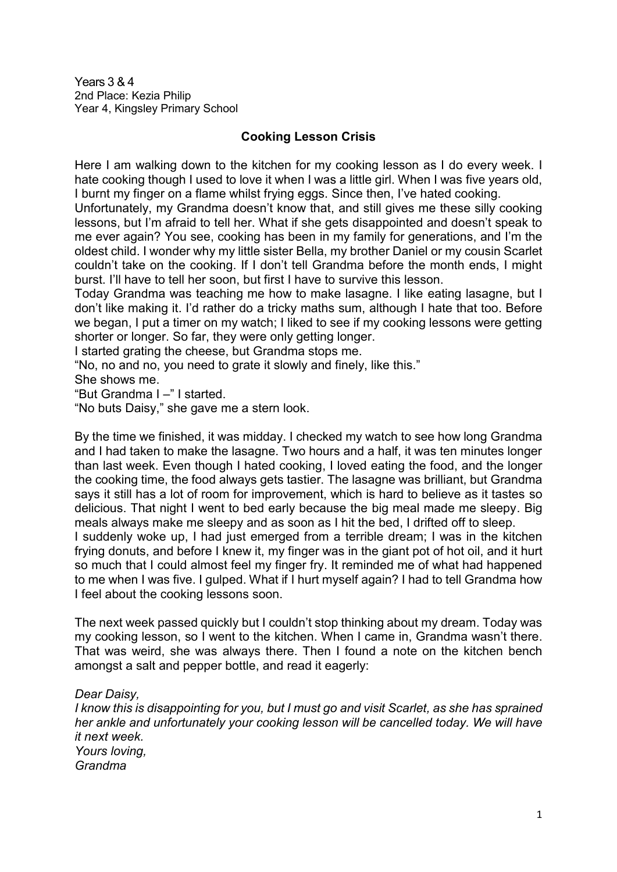Years 3 & 4 2nd Place: Kezia Philip Year 4, Kingsley Primary School

## **Cooking Lesson Crisis**

Here I am walking down to the kitchen for my cooking lesson as I do every week. I hate cooking though I used to love it when I was a little girl. When I was five years old, I burnt my finger on a flame whilst frying eggs. Since then, I've hated cooking.

Unfortunately, my Grandma doesn't know that, and still gives me these silly cooking lessons, but I'm afraid to tell her. What if she gets disappointed and doesn't speak to me ever again? You see, cooking has been in my family for generations, and I'm the oldest child. I wonder why my little sister Bella, my brother Daniel or my cousin Scarlet couldn't take on the cooking. If I don't tell Grandma before the month ends, I might burst. I'll have to tell her soon, but first I have to survive this lesson.

Today Grandma was teaching me how to make lasagne. I like eating lasagne, but I don't like making it. I'd rather do a tricky maths sum, although I hate that too. Before we began, I put a timer on my watch; I liked to see if my cooking lessons were getting shorter or longer. So far, they were only getting longer.

I started grating the cheese, but Grandma stops me.

"No, no and no, you need to grate it slowly and finely, like this."

She shows me.

"But Grandma I –" I started.

"No buts Daisy," she gave me a stern look.

By the time we finished, it was midday. I checked my watch to see how long Grandma and I had taken to make the lasagne. Two hours and a half, it was ten minutes longer than last week. Even though I hated cooking, I loved eating the food, and the longer the cooking time, the food always gets tastier. The lasagne was brilliant, but Grandma says it still has a lot of room for improvement, which is hard to believe as it tastes so delicious. That night I went to bed early because the big meal made me sleepy. Big meals always make me sleepy and as soon as I hit the bed, I drifted off to sleep. I suddenly woke up, I had just emerged from a terrible dream; I was in the kitchen frying donuts, and before I knew it, my finger was in the giant pot of hot oil, and it hurt so much that I could almost feel my finger fry. It reminded me of what had happened to me when I was five. I gulped. What if I hurt myself again? I had to tell Grandma how I feel about the cooking lessons soon.

The next week passed quickly but I couldn't stop thinking about my dream. Today was my cooking lesson, so I went to the kitchen. When I came in, Grandma wasn't there. That was weird, she was always there. Then I found a note on the kitchen bench amongst a salt and pepper bottle, and read it eagerly:

*Dear Daisy,*

*I know this is disappointing for you, but I must go and visit Scarlet, as she has sprained her ankle and unfortunately your cooking lesson will be cancelled today. We will have it next week. Yours loving,* 

*Grandma*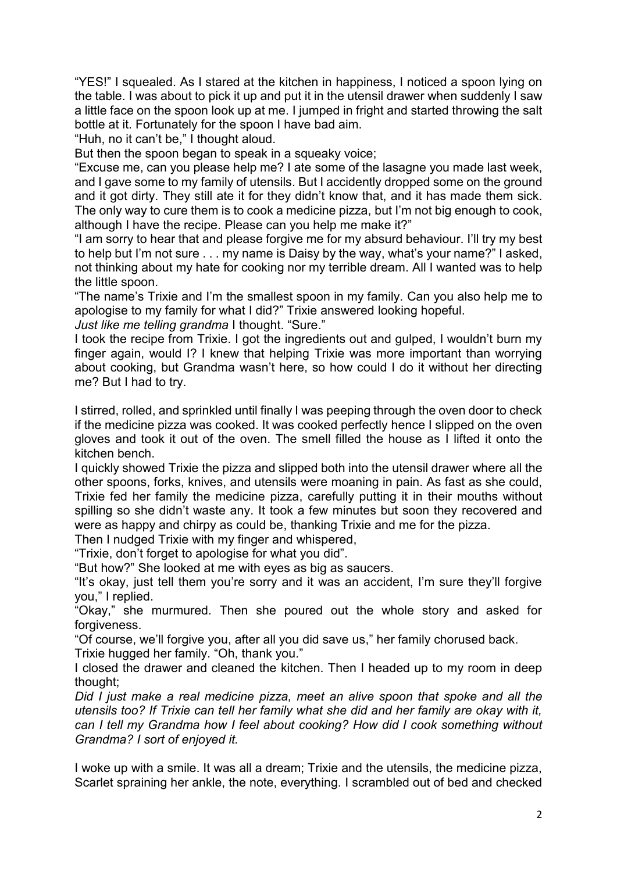"YES!" I squealed. As I stared at the kitchen in happiness, I noticed a spoon lying on the table. I was about to pick it up and put it in the utensil drawer when suddenly I saw a little face on the spoon look up at me. I jumped in fright and started throwing the salt bottle at it. Fortunately for the spoon I have bad aim.

"Huh, no it can't be," I thought aloud.

But then the spoon began to speak in a squeaky voice;

"Excuse me, can you please help me? I ate some of the lasagne you made last week, and I gave some to my family of utensils. But I accidently dropped some on the ground and it got dirty. They still ate it for they didn't know that, and it has made them sick. The only way to cure them is to cook a medicine pizza, but I'm not big enough to cook, although I have the recipe. Please can you help me make it?"

"I am sorry to hear that and please forgive me for my absurd behaviour. I'll try my best to help but I'm not sure . . . my name is Daisy by the way, what's your name?" I asked, not thinking about my hate for cooking nor my terrible dream. All I wanted was to help the little spoon.

"The name's Trixie and I'm the smallest spoon in my family. Can you also help me to apologise to my family for what I did?" Trixie answered looking hopeful.

*Just like me telling grandma* I thought. "Sure."

I took the recipe from Trixie. I got the ingredients out and gulped, I wouldn't burn my finger again, would I? I knew that helping Trixie was more important than worrying about cooking, but Grandma wasn't here, so how could I do it without her directing me? But I had to try.

I stirred, rolled, and sprinkled until finally I was peeping through the oven door to check if the medicine pizza was cooked. It was cooked perfectly hence I slipped on the oven gloves and took it out of the oven. The smell filled the house as I lifted it onto the kitchen bench.

I quickly showed Trixie the pizza and slipped both into the utensil drawer where all the other spoons, forks, knives, and utensils were moaning in pain. As fast as she could, Trixie fed her family the medicine pizza, carefully putting it in their mouths without spilling so she didn't waste any. It took a few minutes but soon they recovered and were as happy and chirpy as could be, thanking Trixie and me for the pizza.

Then I nudged Trixie with my finger and whispered,

"Trixie, don't forget to apologise for what you did".

"But how?" She looked at me with eyes as big as saucers.

"It's okay, just tell them you're sorry and it was an accident, I'm sure they'll forgive you," I replied.

"Okay," she murmured. Then she poured out the whole story and asked for forgiveness.

"Of course, we'll forgive you, after all you did save us," her family chorused back.

Trixie hugged her family. "Oh, thank you."

I closed the drawer and cleaned the kitchen. Then I headed up to my room in deep thought;

*Did I just make a real medicine pizza, meet an alive spoon that spoke and all the utensils too? If Trixie can tell her family what she did and her family are okay with it, can I tell my Grandma how I feel about cooking? How did I cook something without Grandma? I sort of enjoyed it.*

I woke up with a smile. It was all a dream; Trixie and the utensils, the medicine pizza, Scarlet spraining her ankle, the note, everything. I scrambled out of bed and checked